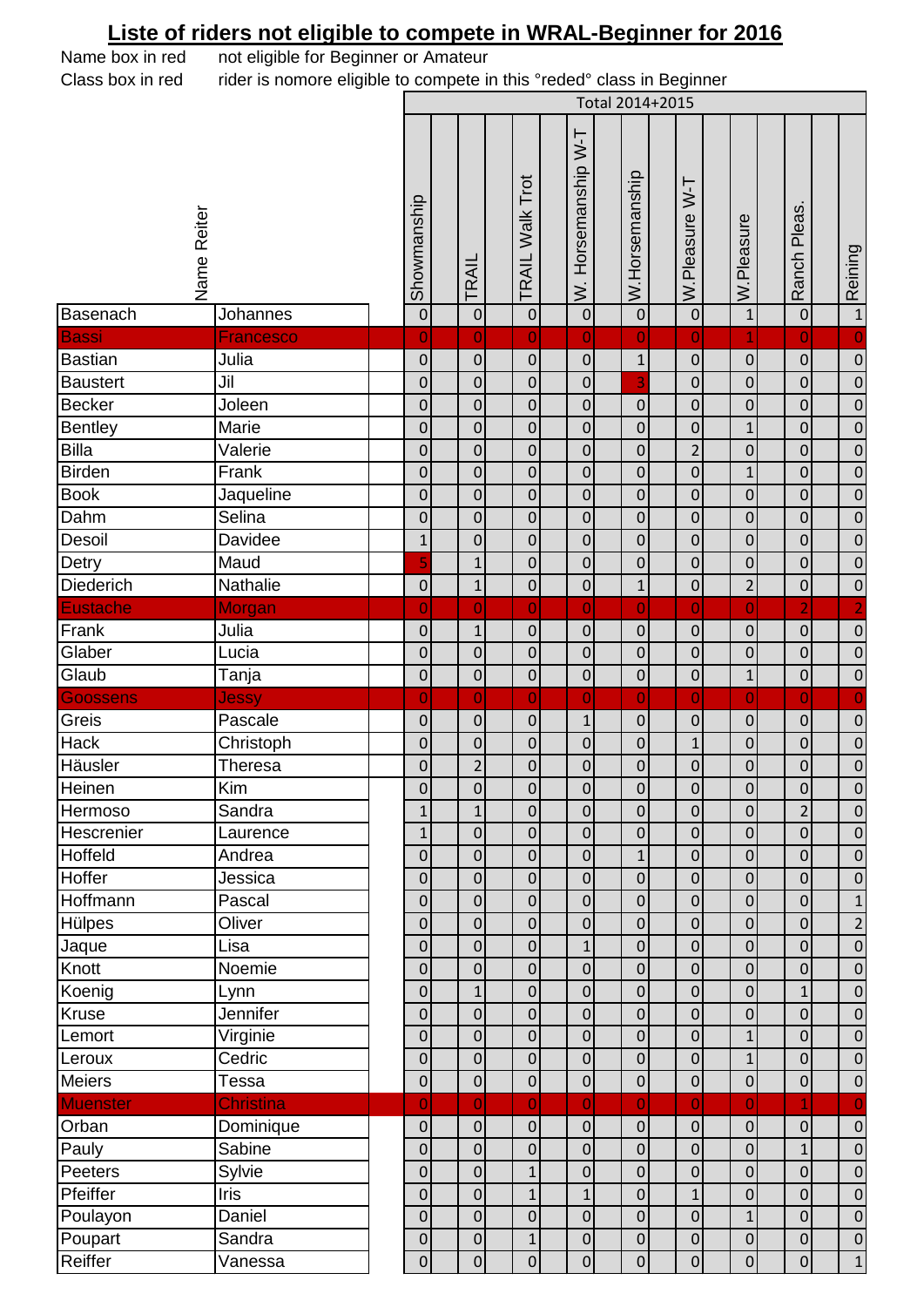## **Liste of riders not eligible to compete in WRAL-Beginner for 2016**

Name box in red not eligible for Beginner or Amateur Class box in red rider is nomore eligible to compete in this °reded° class in Beginner Total 2014+2015Name Reiter<br>Showmanship<br>TRAIL Walk Trot<br>W. Horsemanship W-T<br>W.Horsemanship<br>W.Horsemanship Ranch Pleas. Ranch Pleas Pleasure W.Pleasure Reining  $\overline{z}$ Basenach Johannes 0 0 0 0 0 0 1 0 1 Bassi Francesco 0 0 0 0 0 0 1 0 0 Bastian Julia 0 0 0 0 1 0 0 0 0 Baustert |Jil | | | 0| | 0| | 0| | 0| | <mark>| 3|</mark> | 0| | 0| | 0| | 0 Becker Joleen 0 0 0 0 0 0 0 0 0 Bentley |Marie | | 0| | 0| | 0| | 0| | 0| | 0| | 0| | 0 Billa Valerie 0 0 0 0 0 2 0 0 0 Birden Frank 0 0 0 0 0 0 1 0 0 Book Jaqueline 0 0 0 0 0 0 0 0 0 Dahm |Selina | | 0| | 0| | 0| | 0| | 0| | 0| | 0| | 0 Desoil |Davidee | | 1| | 0| | 0| | 0| | 0| | 0| | 0| | 0 Detry Maud 5 1 0 0 0 0 0 0 0 Diederich | Nathalie | 10 1 1 0 10 10 11 0 12 0 10 Eustache Morgan 0 0 0 0 0 0 0 2 2 Frank Julia 0 1 0 0 0 0 0 0 0 Glaber Lucia 0 0 0 0 0 0 0 0 0 Glaub Tanja 0 0 0 0 0 0 1 0 0 Goossens Jessy 0 0 0 0 0 0 0 0 0 Greis |Pascale | | 0| | 0| | 0| | 0| | 0| | 0| | 0| | 0 Hack |Christoph | | 0| | 0| | 0| | 0| | 0| | 0| | 0| | 0 Häusler |Theresa | 0| | 0| | 0| | 0| | 0| | 0| | 0| Heinen Kim 0 0 0 0 0 0 0 0 0 Hermoso Sandra 1 1 0 0 0 0 0 2 0 Hescrenier Laurence 1 0 0 0 0 0 0 0 0 Hoffeld |Andrea | | 0| | 0| | 0| | 0| | 0| | 0| | 0| | 0 Hoffer Jessica 0 0 0 0 0 0 0 0 0 Hoffmann Pascal 0 0 0 0 0 0 0 0 1 Hülpes |Oliver | | 0| | 0| | 0| | 0| | 0| | 0| | 0| | 2 Jaque Lisa 0 0 0 1 0 0 0 0 0 Knott |Noemie | | 0| | 0| | 0| | 0| | 0| | 0| | 0| | 0 Koenig Lynn 0 1 0 0 0 0 0 1 0 Kruse Jennifer 0 0 0 0 0 0 0 0 0 Lemort Virginie 0 0 0 0 0 0 1 0 0 Leroux |Cedric | | 0| | 0| | 0| | 0| | 0| | 0| | 0| | 0 Meiers |Tessa | | 0| | 0| | 0| | 0| | 0| | 0| | 0| | 0 Muenster |Christina | | 0| | 0| | 0| | 0| | 0| | 0| | 0| | 1| | 0 Orban Dominique 0 0 0 0 0 0 0 0 0 Pauly |Sabine | | 0| | 0| | 0| | 0| | 0| | 0| | 1| | 0 Peeters |Sylvie | | 0| | 0| | 1| | 0| | 0| | 0| | 0| | 0| | 0 Pfeiffer Iris 0 0 1 1 0 1 0 0 0 Poulayon |Daniel | | 0| | 0| | 0| | 0| | 0| | 0| | 0| | 0 Poupart |Sandra | | 0| | 0| | 1| | 0| | 0| | 0| | 0| | 0| | 0 Reiffer Vanessa 0 0 0 0 0 0 0 0 1